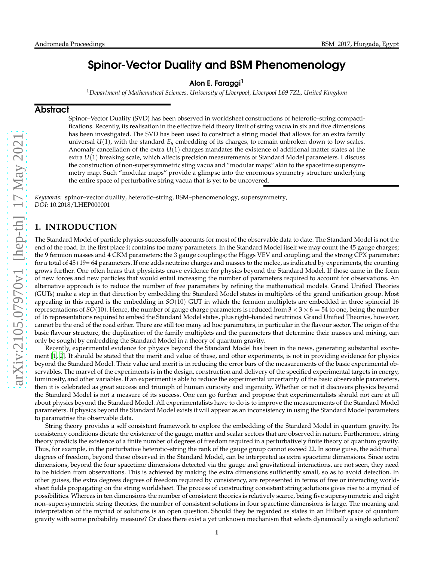# Spinor-Vector Duality and BSM Phenomenology

### Alon E. Faraggi<sup>1</sup>

<sup>1</sup>*Department of Mathematical Sciences, University of Liverpool, Liverpool L69 7ZL, United Kingdom*

## **Abstract**

Spinor–Vector Duality (SVD) has been observed in worldsheet constructions of heterotic–string compactifications. Recently, its realisation in the effective field theory limit of string vacua in six and five dimensions has been investigated. The SVD has been used to construct a string model that allows for an extra family universal  $U(1)$ , with the standard  $E_6$  embedding of its charges, to remain unbroken down to low scales. Anomaly cancellation of the extra *U*(1) charges mandates the existence of additional matter states at the extra *U*(1) breaking scale, which affects precision measurements of Standard Model parameters. I discuss the construction of non-supersymmetric sting vacua and "modular maps" akin to the spacetime supersymmetry map. Such "modular maps" provide a glimpse into the enormous symmetry structure underlying the entire space of perturbative string vacua that is yet to be uncovered.

*Keywords:* spinor–vector duality, heterotic–string, BSM–phenomenology, supersymmetry, *DOI:* 10.2018/LHEP000001

# **1. INTRODUCTION**

The Standard Model of particle physics successfully accounts for most of the observable data to date. The Standard Model is not the end of the road. In the first place it contains too many parameters. In the Standard Model itself we may count the 45 gauge charges; the 9 fermion masses and 4 CKM parameters; the 3 gauge couplings; the Higgs VEV and coupling; and the strong CPX parameter; for a total of 45+19= 64 parameters. If one adds neutrino charges and masses to the melee, as indicated by experiments, the counting grows further. One often hears that physicists crave evidence for physics beyond the Standard Model. If those came in the form of new forces and new particles that would entail increasing the number of parameters required to account for observations. An alternative approach is to reduce the number of free parameters by refining the mathematical models. Grand Unified Theories (GUTs) make a step in that direction by embedding the Standard Model states in multiplets of the grand unification group. Most appealing in this regard is the embedding in *SO*(10) GUT in which the fermion multiplets are embedded in three spinorial 16 representations of  $SO(10)$ . Hence, the number of gauge charge parameters is reduced from  $3 \times 3 \times 6 = 54$  to one, being the number of 16 representations required to embed the Standard Model states, plus right–handed neutrinos. Grand Unified Theories, however, cannot be the end of the road either. There are still too many ad hoc parameters, in particular in the flavour sector. The origin of the basic flavour structure, the duplication of the family multiplets and the parameters that determine their masses and mixing, can only be sought by embedding the Standard Model in a theory of quantum gravity.

Recently, experimental evidence for physics beyond the Standard Model has been in the news, generating substantial excitement [\[1](#page-11-0), [2\]](#page-11-1). It should be stated that the merit and value of these, and other experiments, is not in providing evidence for physics beyond the Standard Model. Their value and merit is in reducing the error bars of the measurements of the basic experimental observables. The marvel of the experiments is in the design, construction and delivery of the specified experimental targets in energy, luminosity, and other variables. If an experiment is able to reduce the experimental uncertainty of the basic observable parameters, then it is celebrated as great success and triumph of human curiosity and ingenuity. Whether or not it discovers physics beyond the Standard Model is not a measure of its success. One can go further and propose that experimentalists should not care at all about physics beyond the Standard Model. All experimentalists have to do is to improve the measurements of the Standard Model parameters. If physics beyond the Standard Model exists it will appear as an inconsistency in using the Standard Model parameters to paramatrise the observable data.

String theory provides a self consistent framework to explore the embedding of the Standard Model in quantum gravity. Its consistency conditions dictate the existence of the gauge, matter and scalar sectors that are observed in nature. Furthermore, string theory predicts the existence of a finite number of degrees of freedom required in a perturbatively finite theory of quantum gravity. Thus, for example, in the perturbative heterotic–string the rank of the gauge group cannot exceed 22. In some guise, the additional degrees of freedom, beyond those observed in the Standard Model, can be interpreted as extra spacetime dimensions. Since extra dimensions, beyond the four spacetime dimensions detected via the gauge and gravitational interactions, are not seen, they need to be hidden from observations. This is achieved by making the extra dimensions sufficiently small, so as to avoid detection. In other guises, the extra degrees degrees of freedom required by consistency, are represented in terms of free or interacting worldsheet fields propagating on the string worldsheet. The process of constructing consistent string solutions gives rise to a myriad of possibilities. Whereas in ten dimensions the number of consistent theories is relatively scarce, being five supersymmetric and eight non–supersymmetric string theories, the number of consistent solutions in four spacetime dimensions is large. The meaning and interpretation of the myriad of solutions is an open question. Should they be regarded as states in an Hilbert space of quantum gravity with some probability measure? Or does there exist a yet unknown mechanism that selects dynamically a single solution?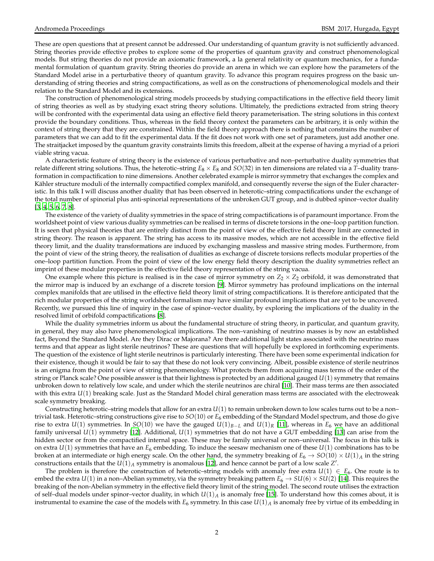These are open questions that at present cannot be addressed. Our understanding of quantum gravity is not sufficiently advanced. String theories provide effective probes to explore some of the properties of quantum gravity and construct phenomenological models. But string theories do not provide an axiomatic framework, a la general relativity or quantum mechanics, for a fundamental formulation of quantum gravity. String theories do provide an arena in which we can explore how the parameters of the Standard Model arise in a perturbative theory of quantum gravity. To advance this program requires progress on the basic understanding of string theories and string compactifications, as well as on the constructions of phenomenological models and their relation to the Standard Model and its extensions.

The construction of phenomenological string models proceeds by studying compactifications in the effective field theory limit of string theories as well as by studying exact string theory solutions. Ultimately, the predictions extracted from string theory will be confronted with the experimental data using an effective field theory parameterisation. The string solutions in this context provide the boundary conditions. Thus, whereas in the field theory context the parameters can be arbitrary, it is only within the context of string theory that they are constrained. Within the field theory approach there is nothing that constrains the number of parameters that we can add to fit the experimental data. If the fit does not work with one set of parameters, just add another one. The straitjacket imposed by the quantum gravity constraints limits this freedom, albeit at the expense of having a myriad of a priori viable string vacua.

A characteristic feature of string theory is the existence of various perturbative and non–perturbative duality symmetries that relate different string solutions. Thus, the heterotic–string *E*<sup>8</sup> × *E*<sup>8</sup> and *SO*(32) in ten dimensions are related via a *T*–duality transformation in compactification to nine dimensions. Another celebrated example is mirror symmetry that exchanges the complex and Kähler structure moduli of the internally compactified complex manifold, and consequently reverse the sign of the Euler characteristic. In this talk I will discuss another duality that has been observed in heterotic–string compactifications under the exchange of the total number of spinorial plus anti-spinorial representations of the unbroken GUT group, and is dubbed spinor–vector duality  $[3, 4, 5, 6, 7, 8]$  $[3, 4, 5, 6, 7, 8]$  $[3, 4, 5, 6, 7, 8]$  $[3, 4, 5, 6, 7, 8]$  $[3, 4, 5, 6, 7, 8]$  $[3, 4, 5, 6, 7, 8]$  $[3, 4, 5, 6, 7, 8]$  $[3, 4, 5, 6, 7, 8]$  $[3, 4, 5, 6, 7, 8]$  $[3, 4, 5, 6, 7, 8]$  $[3, 4, 5, 6, 7, 8]$  $[3, 4, 5, 6, 7, 8]$ .

The existence of the variety of duality symmetries in the space of string compactifications is of paramount importance. From the worldsheet point of view various duality symmetries can be realised in terms of discrete torsions in the one–loop partition function. It is seen that physical theories that are entirely distinct from the point of view of the effective field theory limit are connected in string theory. The reason is apparent. The string has access to its massive modes, which are not accessible in the effective field theory limit, and the duality transformations are induced by exchanging massless and massive string modes. Furthermore, from the point of view of the string theory, the realisation of dualities as exchange of discrete torsions reflects modular properties of the one–loop partition function. From the point of view of the low energy field theory description the duality symmetries reflect an imprint of these modular properties in the effective field theory representation of the string vacua.

One example where this picture is realised is in the case of mirror symmetry on  $Z_2 \times Z_2$  orbifold, it was demonstrated that the mirror map is induced by an exchange of a discrete torsion [\[9](#page-11-8)]. Mirror symmetry has profound implications on the internal complex manifolds that are utilised in the effective field theory limit of string compactifications. It is therefore anticipated that the rich modular properties of the string worldsheet formalism may have similar profound implications that are yet to be uncovered. Recently, we pursued this line of inquiry in the case of spinor–vector duality, by exploring the implications of the duality in the resolved limit of orbifold compactifications [\[8](#page-11-7)].

While the duality symmetries inform us about the fundamental structure of string theory, in particular, and quantum gravity, in general, they may also have phenomenological implications. The non–vanishing of neutrino masses is by now an established fact, Beyond the Standard Model. Are they Dirac or Majorana? Are there additional light states associated with the neutrino mass terms and that appear as light sterile neutrinos? These are questions that will hopefully be explored in forthcoming experiments. The question of the existence of light sterile neutrinos is particularly interesting. There have been some experimental indication for their existence, though it would be fair to say that these do not look very convincing. Albeit, possible existence of sterile neutrinos is an enigma from the point of view of string phenomenology. What protects them from acquiring mass terms of the order of the string or Planck scale? One possible answer is that their lightness is protected by an additional gauged *U*(1) symmetry that remains unbroken down to relatively low scale, and under which the sterile neutrinos are chiral [\[10](#page-11-9)]. Their mass terms are then associated with this extra  $U(1)$  breaking scale. Just as the Standard Model chiral generation mass terms are associated with the electroweak scale symmetry breaking.

Constructing heterotic–string models that allow for an extra *U*(1) to remain unbroken down to low scales turns out to be a non– trivial task. Heterotic–string constructions give rise to *SO*(10) or *E*<sup>6</sup> embedding of the Standard Model spectrum, and those do give rise to extra  $U(1)$  symmetries. In *SO*(10) we have the gauged  $U(1)_{B-L}$  and  $U(1)_R$  [\[11](#page-11-10)], whereas in  $E_6$  we have an additional family universal *U*(1) symmetry [\[12](#page-11-11)]. Additional, *U*(1) symmetries that do not have a GUT embedding [\[13\]](#page-12-0) can arise from the hidden sector or from the compactified internal space. These may be family universal or non–universal. The focus in this talk is on extra  $U(1)$  symmetries that have an  $E_6$  embedding. To induce the seesaw mechanism one of these  $U(1)$  combinations has to be broken at an intermediate or high energy scale. On the other hand, the symmetry breaking of  $E_6 \to SO(10) \times U(1)_A$  in the string constructions entails that the  $U(1)_A$  symmetry is anomalous [\[12\]](#page-11-11), and hence cannot be part of a low scale  $Z'$ .

The problem is therefore the construction of heterotic–string models with anomaly free extra  $U(1) \in E_6$ . One route is to embed the extra  $U(1)$  in a non–Abelian symmetry, via the symmetry breaking pattern  $E_6 \to SU(6) \times SU(2)$  [\[14](#page-12-1)]. This requires the breaking of the non-Abelian symmetry in the effective field theory limit of the string model. The second route utilises the extraction of self-dual models under spinor-vector duality, in which  $U(1)_A$  is anomaly free [\[15](#page-12-2)]. To understand how this comes about, it is instrumental to examine the case of the models with  $E_6$  symmetry. In this case  $U(1)_A$  is anomaly free by virtue of its embedding in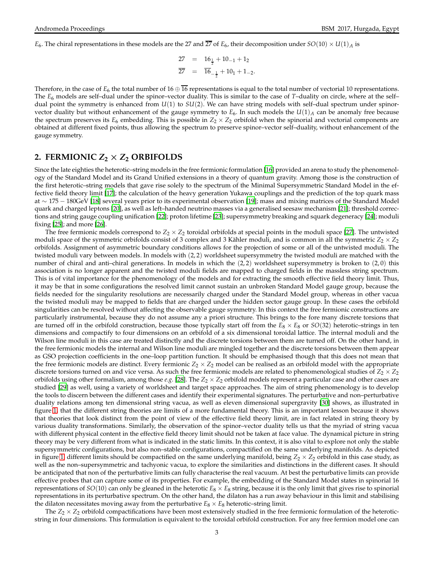$E_6$ . The chiral representations in these models are the 27 and  $2\overline{27}$  of  $E_6$ , their decomposition under  $SO(10) \times U(1)_A$  is

$$
27 = 16_{\frac{1}{2}} + 10_{-1} + 1_2
$$
  

$$
\overline{27} = \overline{16}_{-\frac{1}{2}} + 10_1 + 1_{-2}.
$$

Therefore, in the case of  $E_6$  the total number of  $16 \oplus \overline{16}$  representations is equal to the total number of vectorial 10 representations. The *E*<sup>6</sup> models are self–dual under the spinor–vector duality. This is similar to the case of *T*–duality on circle, where at the self– dual point the symmetry is enhanced from *U*(1) to *SU*(2). We can have string models with self–dual spectrum under spinorvector duality but without enhancement of the gauge symmetry to  $E_6$ . In such models the  $U(1)_A$  can be anomaly free because the spectrum preserves its  $E_6$  embedding. This is possible in  $Z_2 \times Z_2$  orbifold when the spinorial and vectorial components are obtained at different fixed points, thus allowing the spectrum to preserve spinor–vector self–duality, without enhancement of the gauge symmetry.

# **2. FERMIONIC**  $Z_2 \times Z_2$  **ORBIFOLDS**

Since the late eighties the heterotic–string models in the free fermionic formulation [\[16](#page-12-3)] provided an arena to study the phenomenology of the Standard Model and its Grand Unified extensions in a theory of quantum gravity. Among those is the construction of the first heterotic–string models that gave rise solely to the spectrum of the Minimal Supersymmetric Standard Model in the effective field theory limit [\[17](#page-12-4)]; the calculation of the heavy generation Yukawa couplings and the prediction of the top quark mass at ∼ 175 − 180GeV [\[18](#page-12-5)] several years prior to its experimental observation [\[19](#page-12-6)]; mass and mixing matrices of the Standard Model quark and charged leptons [\[20](#page-12-7)], as well as left–handed neutrino masses via a generalised seesaw mechanism [\[21\]](#page-12-8); threshold corrections and string gauge coupling unification [\[22](#page-12-9)]; proton lifetime [\[23](#page-12-10)]; supersymmetry breaking and squark degeneracy [\[24\]](#page-12-11); moduli fixing [\[25](#page-12-12)]; and more [\[26\]](#page-12-13).

The free fermionic models correspond to  $Z_2 \times Z_2$  toroidal orbifolds at special points in the moduli space [\[27](#page-12-14)]. The untwisted moduli space of the symmetric orbifolds consist of 3 complex and 3 Kähler moduli, and is common in all the symmetric  $Z_2 \times Z_2$ orbifolds. Assignment of asymmetric boundary conditions allows for the projection of some or all of the untwisted moduli. The twisted moduli vary between models. In models with (2, 2) worldsheet supersymmetry the twisted moduli are matched with the number of chiral and anti–chiral generations. In models in which the (2,2) worldsheet supersymmetry is broken to (2,0) this association is no longer apparent and the twisted moduli fields are mapped to charged fields in the massless string spectrum. This is of vital importance for the phenomenology of the models and for extracting the smooth effective field theory limit. Thus, it may be that in some configurations the resolved limit cannot sustain an unbroken Standard Model gauge group, because the fields needed for the singularity resolutions are necessarily charged under the Standard Model group, whereas in other vacua the twisted moduli may be mapped to fields that are charged under the hidden sector gauge group. In these cases the orbifold singularities can be resolved without affecting the observable gauge symmetry. In this context the free fermionic constructions are particularly instrumental, because they do not assume any a priori structure. This brings to the fore many discrete torsions that are turned off in the orbifold construction, because those typically start off from the  $E_8 \times E_8$  or  $SO(32)$  heterotic–strings in ten dimensions and compactify to four dimensions on an orbifold of a six dimensional toroidal lattice. The internal moduli and the Wilson line moduli in this case are treated distinctly and the discrete torsions between them are turned off. On the other hand, in the free fermionic models the internal and Wilson line moduli are mingled together and the discrete torsions between them appear as GSO projection coefficients in the one–loop partition function. It should be emphasised though that this does not mean that the free fermionic models are distinct. Every fermionic  $Z_2 \times Z_2$  model can be realised as an orbifold model with the appropriate discrete torsions turned on and vice versa. As such the free fermionic models are related to phenomenological studies of  $Z_2 \times Z_2$ orbifolds using other formalism, among those *e.g.* [\[28\]](#page-12-15). The *Z*<sup>2</sup> × *Z*<sup>2</sup> orbifold models represent a particular case and other cases are studied [\[29\]](#page-12-16) as well, using a variety of worldsheet and target space approaches. The aim of string phenomenology is to develop the tools to discern between the different cases and identify their experimental signatures. The perturbative and non–perturbative duality relations among ten dimensional string vacua, as well as eleven dimensional supergravity [\[30\]](#page-12-17) shows, as illustrated in figure [1,](#page-3-0) that the different string theories are limits of a more fundamental theory. This is an important lesson because it shows that theories that look distinct from the point of view of the effective field theory limit, are in fact related in string theory by various duality transformations. Similarly, the observation of the spinor–vector duality tells us that the myriad of string vacua with different physical content in the effective field theory limit should not be taken at face value. The dynamical picture in string theory may be very different from what is indicated in the static limits. In this context, it is also vital to explore not only the stable supersymmetric configurations, but also non–stable configurations, compactified on the same underlying manifolds. As depicted in figure [1,](#page-3-0) different limits should be compactified on the same underlying manifold, being  $Z_2 \times Z_2$  orbifold in this case study, as well as the non–supersymmetric and tachyonic vacua, to explore the similarities and distinctions in the different cases. It should be anticipated that non of the perturbative limits can fully characterise the real vacuum. At best the perturbative limits can provide effective probes that can capture some of its properties. For example, the embedding of the Standard Model states in spinorial 16 representations of  $SO(10)$  can only be gleaned in the heterotic  $E_8 \times E_8$  string, because it is the only limit that gives rise to spinorial representations in its perturbative spectrum. On the other hand, the dilaton has a run away behaviour in this limit and stabilising the dilaton necessitates moving away from the perturbative  $E_8 \times E_8$  heterotic–string limit.

The  $Z_2 \times Z_2$  orbifold compactifications have been most extensively studied in the free fermionic formulation of the heteroticstring in four dimensions. This formulation is equivalent to the toroidal orbifold construction. For any free fermion model one can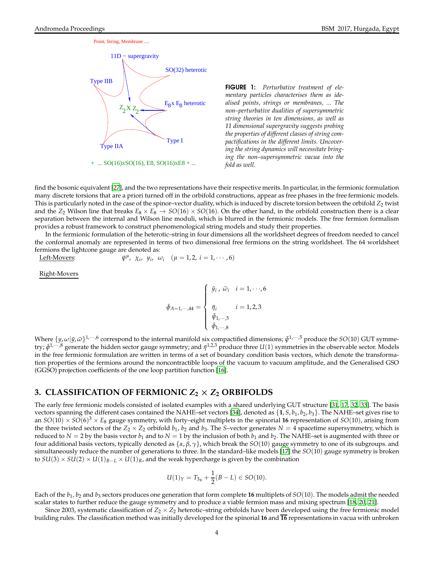



<span id="page-3-0"></span>FIGURE 1: *Perturbative treatment of elementary particles characterises them as idealised points, strings or membranes, ... The non–perturbative dualities of supersymmetric string theories in ten dimensions, as well as 11 dimensional supergravity suggests probing the properties of different classes of string compactifications in the different limits. Uncovering the string dynamics will necessitate bringing the non–supersymmetric vacua into the fold as well.*

find the bosonic equivalent [\[27\]](#page-12-14), and the two representations have their respective merits. In particular, in the fermionic formulation many discrete torsions that are a priori turned off in the orbifold constructions, appear as free phases in the free fermionic models. This is particularly noted in the case of the spinor–vector duality, which is induced by discrete torsion between the orbifold  $Z_2$  twist and the  $Z_2$  Wilson line that breaks  $E_8 \times E_8 \to SO(16) \times SO(16)$ . On the other hand, in the orbifold construction there is a clear separation between the internal and Wilson line moduli, which is blurred in the fermionic models. The free fermion formalism provides a robust framework to construct phenomenological string models and study their properties.

In the fermionic formulation of the heterotic–string in four dimensions all the worldsheet degrees of freedom needed to cancel the conformal anomaly are represented in terms of two dimensional free fermions on the string worldsheet. The 64 worldsheet fermions the lightcone gauge are denoted as:

Left-Movers:  $\mu$ ,  $\chi_i$ ,  $y_i$ ,  $\omega_i$  ( $\mu = 1, 2, i = 1, \cdots, 6$ )

Right-Movers

$$
\bar{\phi}_{A=1,\cdots,44} = \begin{cases} \bar{y}_i \,, \, \bar{\omega}_i & i = 1, \cdots, 6 \\ \bar{\eta}_i & i = 1, 2, 3 \\ \bar{\psi}_{1,\cdots,5} & \bar{\phi}_{1,\cdots,8} \end{cases}
$$

Where  $\{y,\omega|\bar{y},\bar{\omega}\}^{1,\cdots,6}$  correspond to the internal manifold six compactified dimensions;  $\bar{\psi}^{1,\cdots,5}$  produce the *SO*(10) GUT symmetry;  $\bar{\phi}^{1,\cdots,8}$  generate the hidden sector gauge symmetry; and  $\bar{\eta}^{1,2,3}$  produce three *U*(1) symmetries in the observable sector. Models in the free fermionic formulation are written in terms of a set of boundary condition basis vectors, which denote the transformation properties of the fermions around the noncontractible loops of the vacuum to vacuum amplitude, and the Generalised GSO (GGSO) projection coefficients of the one loop partition function [\[16\]](#page-12-3).

# **3. CLASSIFICATION OF FERMIONIC** *Z***<sup>2</sup>** × *Z***<sup>2</sup> ORBIFOLDS**

The early free fermionic models consisted of isolated examples with a shared underlying GUT structure [\[31](#page-12-18), [17,](#page-12-4) [32](#page-12-19), [33](#page-12-20)]. The basis vectors spanning the different cases contained the NAHE–set vectors [\[34](#page-12-21)], denoted as  $\{1, S, b_1, b_2, b_3\}$ . The NAHE–set gives rise to an  $SO(10) \times SO(6)^3 \times E_8$  gauge symmetry, with forty–eight multiplets in the spinorial **16** representation of  $SO(10)$ , arising from the three twisted sectors of the  $Z_2 \times Z_2$  orbifold  $b_1$ ,  $b_2$  and  $b_3$ . The *S*–vector generates  $N = 4$  spacetime supersymmetry, which is reduced to  $N = 2$  by the basis vector  $b_1$  and to  $N = 1$  by the inclusion of both  $b_1$  and  $b_2$ . The NAHE–set is augmented with three or four additional basis vectors, typically denoted as {*α*, *β*, *γ*}, which break the *SO*(10) gauge symmetry to one of its subgroups. and simultaneously reduce the number of generations to three. In the standard–like models [\[17\]](#page-12-4) the *SO*(10) gauge symmetry is broken to  $SU(3) \times SU(2) \times U(1)_{B-L} \times U(1)_R$ , and the weak hypercharge is given by the combination

$$
U(1)_Y = T_{3_R} + \frac{1}{2}(B - L) \in SO(10).
$$

Each of the *b*<sup>1</sup> , *b*<sup>2</sup> and *b*<sup>3</sup> sectors produces one generation that form complete **16** multiplets of *SO*(10). The models admit the needed scalar states to further reduce the gauge symmetry and to produce a viable fermion mass and mixing spectrum [\[18](#page-12-5), [20](#page-12-7), [21\]](#page-12-8).

Since 2003, systematic classification of  $Z_2 \times Z_2$  heterotic–string orbifolds have been developed using the free fermionic model building rules. The classification method was initially developed for the spinorial **16** and **16** representations in vacua with unbroken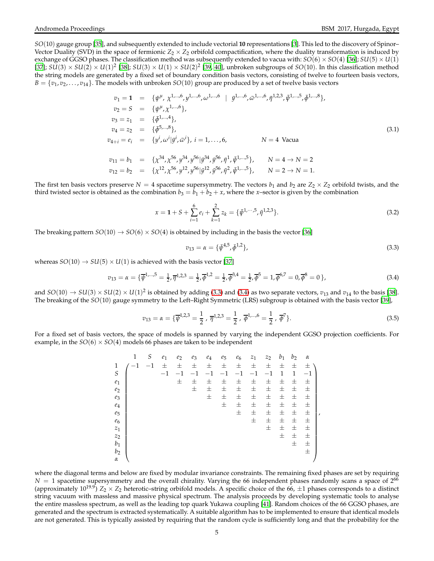*SO*(10) gauge group [\[35](#page-12-22)], and subsequently extended to include vectorial **10** representations [\[3](#page-11-2)]. This led to the discovery of Spinor– Vector Duality (SVD) in the space of fermionic  $Z_2 \times Z_2$  orbifold compactification, where the duality transformation is induced by exchange of GGSO phases. The classification method was subsequently extended to vacua with:  $SO(6) \times SO(4)$  [\[36](#page-12-23)];  $SU(5) \times U(1)$ [\[37\]](#page-12-24);  $SU(3) \times SU(2) \times U(1)^2$  [\[38](#page-12-25)];  $SU(3) \times U(1) \times SU(2)^2$  [\[39,](#page-12-26) [40\]](#page-12-27), unbroken subgroups of *SO*(10). In this classification method the string models are generated by a fixed set of boundary condition basis vectors, consisting of twelve to fourteen basis vectors,  $B = \{v_1, v_2, \ldots, v_{14}\}.$  The models with unbroken  $SO(10)$  group are produced by a set of twelve basis vectors

<span id="page-4-2"></span>
$$
v_1 = 1 = \{\psi^{\mu}, \chi^{1,\dots,6}, y^{1,\dots,6}, \omega^{1,\dots,6} \mid \bar{y}^{1,\dots,6}, \bar{\omega}^{1,\dots,6}, \bar{\eta}^{1,2,3}, \bar{\psi}^{1,\dots,5}, \bar{\phi}^{1,\dots,8}\},
$$
  
\n
$$
v_2 = S = \{\psi^{\mu}, \chi^{1,\dots,6}\},
$$
  
\n
$$
v_3 = z_1 = \{\bar{\phi}^{1,\dots,4}\},
$$
  
\n
$$
v_4 = z_2 = \{\bar{\phi}^{5,\dots,8}\},
$$
  
\n
$$
v_{4+i} = e_i = \{y^i, \omega^i | \bar{y}^i, \bar{\omega}^i\}, i = 1,\dots,6, \qquad N = 4 \text{ Vacua}
$$
  
\n
$$
v_{11} = b_1 = \{\chi^{34}, \chi^{56}, y^{34}, y^{56} | \bar{y}^{34}, \bar{y}^{56}, \bar{\eta}^1, \bar{\psi}^{1,\dots,5}\}, \qquad N = 4 \to N = 2
$$
  
\n
$$
v_{12} = b_2 = \{\chi^{12}, \chi^{56}, y^{12}, y^{56} | \bar{y}^{12}, \bar{y}^{56}, \bar{\eta}^2, \bar{\psi}^{1,\dots,5}\}, \qquad N = 2 \to N = 1.
$$
  
\n(3.1)

The first ten basis vectors preserve  $N = 4$  spacetime supersymmetry. The vectors  $b_1$  and  $b_2$  are  $Z_2 \times Z_2$  orbifold twists, and the third twisted sector is obtained as the combination  $b_3 = b_1 + b_2 + x$ , where the *x*–sector is given by the combination

$$
x = 1 + S + \sum_{i=1}^{6} e_i + \sum_{k=1}^{2} z_k = {\{\bar{\psi}}^{1,\cdots,5}, \bar{\eta}^{1,2,3}\}.
$$
 (3.2)

The breaking pattern  $SO(10) \rightarrow SO(6) \times SO(4)$  is obtained by including in the basis the vector [\[36](#page-12-23)]

<span id="page-4-0"></span>
$$
v_{13} = \alpha = {\bar{\psi}}^{4,5}, \bar{\phi}^{1,2}, \qquad (3.3)
$$

whereas  $SO(10) \rightarrow SU(5) \times U(1)$  is achieved with the basis vector [\[37](#page-12-24)]

<span id="page-4-1"></span>
$$
v_{13} = \alpha = \{\overline{\psi}^{1,\dots,5} = \frac{1}{2}, \overline{\eta}^{1,2,3} = \frac{1}{2}, \overline{\phi}^{1,2} = \frac{1}{2}, \overline{\phi}^{3,4} = \frac{1}{2}, \overline{\phi}^{5} = 1, \overline{\phi}^{6,7} = 0, \overline{\phi}^{8} = 0\},\tag{3.4}
$$

and  $SO(10) \rightarrow SU(3) \times SU(2) \times U(1)^2$  is obtained by adding [\(3.3\)](#page-4-0) and [\(3.4\)](#page-4-1) as two separate vectors,  $v_{13}$  and  $v_{14}$  to the basis [\[38\]](#page-12-25). The breaking of the *SO*(10) gauge symmetry to the Left–Right Symmetric (LRS) subgroup is obtained with the basis vector [\[39\]](#page-12-26),

$$
v_{13} = \alpha = \{ \overline{\psi}^{1,2,3} = \frac{1}{2}, \overline{\eta}^{1,2,3} = \frac{1}{2}, \overline{\phi}^{1,\dots,6} = \frac{1}{2}, \overline{\phi}^{7} \}. \tag{3.5}
$$

For a fixed set of basis vectors, the space of models is spanned by varying the independent GGSO projection coefficients. For example, in the  $SO(6) \times SO(4)$  models 66 phases are taken to be independent

|                | 1       | S       | e <sub>1</sub> | $e_2$ | $e_3$ | $e_4$ | $e_5$ | $e_6$ | $z_1$ | $z_2$ | $b_1$        | b <sub>2</sub> | $\alpha$ |   |
|----------------|---------|---------|----------------|-------|-------|-------|-------|-------|-------|-------|--------------|----------------|----------|---|
| 1              | $^{-1}$ | $^{-1}$ | 士              | 士     | 士     | 士     | 士     | 士     | 士     | 士     | 士            | 士              | 士        |   |
| $\cal S$       |         |         | $-1$           | $-1$  | $-1$  | $-1$  | $-1$  | $-1$  | $-1$  | $-1$  | $\mathbf{1}$ | $\mathbf{1}$   | $-1$     |   |
| $e_1$          |         |         |                | 士     | 士     | 士     | 士     | 士     | 士     | 土     | 土            | 士              | 士        |   |
| $e_2$          |         |         |                |       | 士     | 士     | 士     | 士     | 士     | 土     | 士            | 士              | 士        |   |
| $e_3$          |         |         |                |       |       | 士     | 士     | 士     | 士     | 土     | 土            | 士              | 土        |   |
| $e_4$          |         |         |                |       |       |       | 士     | 士     | 士     | 土     | $\pm$        | 士              | 士        |   |
| $e_5$          |         |         |                |       |       |       |       | 士     | $\pm$ | 土     | 土            | 士              | $\pm$    | , |
| e <sub>6</sub> |         |         |                |       |       |       |       |       | 士     | 士     | 士            | 士              | 士        |   |
| $z_1$          |         |         |                |       |       |       |       |       |       | 士     | 士            | 士              | 士        |   |
| $z_2$          |         |         |                |       |       |       |       |       |       |       | $\pm$        | 士              | 士        |   |
| $b_1$          |         |         |                |       |       |       |       |       |       |       |              | $\pm$          | 士        |   |
| b <sub>2</sub> |         |         |                |       |       |       |       |       |       |       |              |                | 士        |   |
| $\alpha$       |         |         |                |       |       |       |       |       |       |       |              |                |          |   |

where the diagonal terms and below are fixed by modular invariance constraints. The remaining fixed phases are set by requiring  $N = 1$  spacetime supersymmetry and the overall chirality. Varying the 66 independent phases randomly scans a space of  $2^{66}$ (approximately  $10^{19.9}$ )  $Z_2 \times Z_2$  heterotic–string orbifold models. A specific choice of the 66,  $\pm 1$  phases corresponds to a distinct string vacuum with massless and massive physical spectrum. The analysis proceeds by developing systematic tools to analyse the entire massless spectrum, as well as the leading top quark Yukawa coupling [\[41](#page-12-28)]. Random choices of the 66 GGSO phases, are generated and the spectrum is extracted systematically. A suitable algorithm has to be implemented to ensure that identical models are not generated. This is typically assisted by requiring that the random cycle is sufficiently long and that the probability for the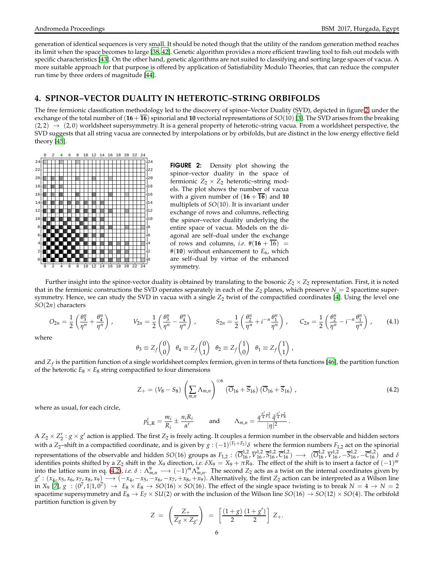generation of identical sequences is very small. It should be noted though that the utility of the random generation method reaches its limit when the space becomes to large [\[38](#page-12-25), [42](#page-12-29)]. Genetic algorithm provides a more efficient trawling tool to fish out models with specific characteristics [\[43\]](#page-12-30). On the other hand, genetic algorithms are not suited to classifying and sorting large spaces of vacua. A more suitable approach for that purpose is offered by application of Satisfiability Modulo Theories, that can reduce the computer run time by three orders of magnitude [\[44](#page-12-31)].

### **4. SPINOR–VECTOR DUALITY IN HETEROTIC–STRING ORBIFOLDS**

The free fermionic classification methodology led to the discovery of spinor–Vector Duality (SVD), depicted in figure [2,](#page-5-0) under the exchange of the total number of  $(16 + \overline{16})$  spinorial and 10 vectorial representations of  $SO(10)$  [\[3\]](#page-11-2). The SVD arises from the breaking  $(2, 2) \rightarrow (2, 0)$  worldsheet supersymmetry. It is a general property of heterotic–string vacua. From a worldsheet perspective, the SVD suggests that all string vacua are connected by interpolations or by orbifolds, but are distinct in the low energy effective field theory [\[45](#page-12-32)].



<span id="page-5-0"></span>FIGURE 2: Density plot showing the spinor–vector duality in the space of fermionic  $Z_2 \times Z_2$  heterotic–string models. The plot shows the number of vacua with a given number of  $(16 + \overline{16})$  and 10 multiplets of *SO*(10). It is invariant under exchange of rows and columns, reflecting the spinor–vector duality underlying the entire space of vacua. Models on the diagonal are self–dual under the exchange of rows and columns, *i.e.*  $\#(16 + \overline{16}) =$  $#(10)$  without enhancement to  $E_6$ , which are self–dual by virtue of the enhanced symmetry.

Further insight into the spinor-vector duality is obtained by translating to the bosonic  $Z_2 \times Z_2$  representation. First, it is noted that in the fermionic constructions the SVD operates separately in each of the  $Z_2$  planes, which preserve  $N = 2$  spacetime supersymmetry. Hence, we can study the SVD in vacua with a single  $Z_2$  twist of the compactified coordinates [\[4\]](#page-11-3). Using the level one *SO*(2*n*) characters

$$
O_{2n} = \frac{1}{2} \left( \frac{\theta_3^n}{\eta^n} + \frac{\theta_4^n}{\eta^n} \right), \qquad V_{2n} = \frac{1}{2} \left( \frac{\theta_3^n}{\eta^n} - \frac{\theta_4^n}{\eta^n} \right), \qquad S_{2n} = \frac{1}{2} \left( \frac{\theta_2^n}{\eta^n} + i^{-n} \frac{\theta_1^n}{\eta^n} \right), \qquad C_{2n} = \frac{1}{2} \left( \frac{\theta_2^n}{\eta^n} - i^{-n} \frac{\theta_1^n}{\eta^n} \right), \qquad (4.1)
$$
  
re
$$
\theta_3 \equiv Z_f \begin{pmatrix} 0 \\ 0 \end{pmatrix} \quad \theta_4 \equiv Z_f \begin{pmatrix} 0 \\ 1 \end{pmatrix} \quad \theta_2 \equiv Z_f \begin{pmatrix} 1 \\ 0 \end{pmatrix} \quad \theta_1 \equiv Z_f \begin{pmatrix} 1 \\ 1 \end{pmatrix},
$$

and  $Z_f$  is the partition function of a single worldsheet complex fermion, given in terms of theta functions [\[46\]](#page-12-33), the partition function of the heterotic  $E_8 \times E_8$  string compactified to four dimensions

<span id="page-5-1"></span>
$$
Z_{+} = (V_{8} - S_{8}) \left( \sum_{m,n} \Lambda_{m,n} \right)^{\otimes 6} \left( \overline{O}_{16} + \overline{S}_{16} \right) \left( \overline{O}_{16} + \overline{S}_{16} \right) , \tag{4.2}
$$

where as usual, for each circle,

wher

$$
p_{\rm L,R}^i = \frac{m_i}{R_i} \pm \frac{n_i R_i}{\alpha'} \quad \text{and} \quad \Lambda_{m,n} = \frac{q^{\frac{\alpha'}{4}p_{\rm L}^2} \bar{q}^{\frac{\alpha'}{4}p_{\rm R}^2}}{|\eta|^2}.
$$

A  $Z_2 \times Z'_2$ :  $g \times g'$  action is applied. The first  $Z_2$  is freely acting. It couples a fermion number in the observable and hidden sectors with a *Z*<sub>2</sub>-shift in a compactified coordinate, and is given by  $g: (-1)^{(F_1 + F_2)}\delta$  where the fermion numbers  $F_{1,2}$  act on the spinorial representations of the observable and hidden  $SO(16)$  groups as  $F_{1,2}$ :  $(\overline{O}_{16}^{1,2}, \overline{V}_{16}^{1,2}, \overline{S}_{16}^{1,2}, \overline{C}_{16}^{1,2}) \longrightarrow (\overline{O}_{16}^{1,2}, \overline{V}_{16}^{1,2}, -\overline{S}_{16}^{1,2}, -\overline{C}_{16}^{1,2})$  and  $\delta$ identifies points shifted by a  $Z_2$  shift in the  $X_9$  direction, *i.e.*  $\delta X_9 = X_9 + \pi R_9$ . The effect of the shift is to insert a factor of  $(-1)^m$ into the lattice sum in eq. [\(4.2\)](#page-5-1), *i.e.*  $\delta$  :  $\Lambda_{m,n}^9 \to (-1)^m \Lambda_{m,n}^9$ . The second  $Z_2$  acts as a twist on the internal coordinates given by  $g': (x_4, x_5, x_6, x_7, x_8, x_9) \longrightarrow (-x_4, -x_5, -x_6, -x_7, +x_8, +x_9)$ . Alternatively, the first Z<sub>2</sub> action can be interpreted as a Wilson line in *X*<sub>9</sub> [\[7\]](#page-11-6),  $g : (0^7, 1|1, 0^7) \rightarrow E_8 \times E_8 \rightarrow SO(16) \times SO(16)$ . The effect of the single space twisting is to break  $N = 4 \rightarrow N = 2$ spacetime supersymmetry and  $E_8 \to E_7 \times SU(2)$  or with the inclusion of the Wilson line  $SO(16) \to SO(12) \times SO(4)$ . The orbifold partition function is given by

$$
Z = \left(\frac{Z_+}{Z_g \times Z_{g'}}\right) = \left[\frac{(1+g)}{2} \frac{(1+g')}{2}\right] Z_+.
$$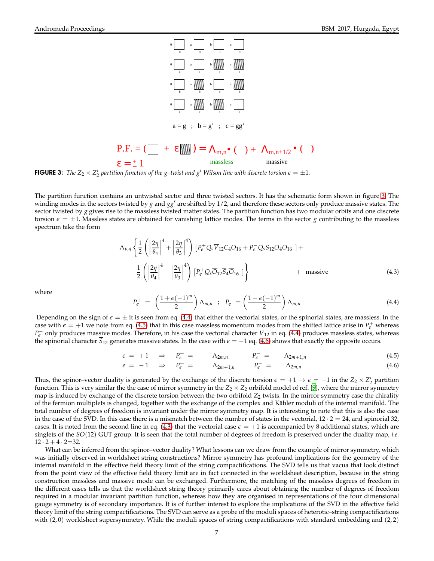

<span id="page-6-0"></span>**FIGURE 3:** The  $Z_2 \times Z_2'$  partition function of the g–twist and  $g'$  Wilson line with discrete torsion  $\epsilon = \pm 1$ .

The partition function contains an untwisted sector and three twisted sectors. It has the schematic form shown in figure [3.](#page-6-0) The winding modes in the sectors twisted by *g* and *gg*′ are shifted by 1/2, and therefore these sectors only produce massive states. The sector twisted by *g* gives rise to the massless twisted matter states. The partition function has two modular orbits and one discrete torsion  $\epsilon = \pm 1$ . Massless states are obtained for vanishing lattice modes. The terms in the sector *g* contributing to the massless spectrum take the form

<span id="page-6-3"></span>
$$
\Lambda_{p,q} \left\{ \frac{1}{2} \left( \left| \frac{2\eta}{\theta_4} \right|^4 + \left| \frac{2\eta}{\theta_3} \right|^4 \right) \left[ P_{\epsilon}^+ Q_s \overline{V}_{12} \overline{C}_4 \overline{O}_{16} + P_{\epsilon}^- Q_s \overline{S}_{12} \overline{O}_4 \overline{O}_{16} \right] + \frac{1}{2} \left( \left| \frac{2\eta}{\theta_4} \right|^4 - \left| \frac{2\eta}{\theta_3} \right|^4 \right) \left[ P_{\epsilon}^+ Q_s \overline{O}_{12} \overline{S}_4 \overline{O}_{16} \right] \right\} \qquad + \text{ massive} \qquad (4.3)
$$

where

<span id="page-6-1"></span>
$$
P_{\epsilon}^{+} = \left(\frac{1+\epsilon(-1)^{m}}{2}\right) \Lambda_{m,n} \; ; \; P_{\epsilon}^{-} = \left(\frac{1-\epsilon(-1)^{m}}{2}\right) \Lambda_{m,n} \tag{4.4}
$$

Depending on the sign of  $\epsilon = \pm$  it is seen from eq. [\(4.4\)](#page-6-1) that either the vectorial states, or the spinorial states, are massless. In the case with  $\epsilon = +1$  we note from eq. [\(4.5\)](#page-6-2) that in this case massless momentum modes from the shifted lattice arise in  $P_{\epsilon}^+$  whereas *P<sub>€</sub>* only produces mas<u>si</u>ve modes. Therefore, in his case the vectorial character *V*<sub>12</sub> in eq. [\(4.4\)](#page-6-1) produces massless states, whereas the spinorial character  $\overline{S}_{12}$  generates massive states. In the case with  $\epsilon = -1$  eq. [\(4.6\)](#page-6-2) shows that exactly the opposite occurs.

<span id="page-6-2"></span>
$$
\epsilon = +1 \quad \Rightarrow \quad P_{\epsilon}^{+} = \qquad \Lambda_{2m,n} \qquad P_{\epsilon}^{-} = \qquad \Lambda_{2m+1,n} \qquad (4.5)
$$

$$
\epsilon = -1 \quad \Rightarrow \quad P_{\epsilon}^{+} = \qquad \Lambda_{2m+1,n} \qquad P_{\epsilon}^{-} = \qquad \Lambda_{2m,n} \tag{4.6}
$$

Thus, the spinor–vector duality is generated by the exchange of the discrete torsion  $\epsilon = +1 \rightarrow \epsilon = -1$  in the  $Z_2 \times Z_2'$  partition function. This is very similar the the case of mirror symmetry in the  $Z_2 \times Z_2$  orbifold model of ref. [\[9\]](#page-11-8), where the mirror symmetry map is induced by exchange of the discrete torsion between the two orbifold  $Z_2$  twists. In the mirror symmetry case the chirality of the fermion multiplets is changed, together with the exchange of the complex and Kähler moduli of the internal manifold. The total number of degrees of freedom is invariant under the mirror symmetry map. It is interesting to note that this is also the case in the case of the SVD. In this case there is a mismatch between the number of states in the vectorial,  $12 \cdot 2 = 24$ , and spinorial 32, cases. It is noted from the second line in eq. [\(4.3\)](#page-6-3) that the vectorial case  $\epsilon = +1$  is accompanied by 8 additional states, which are singlets of the *SO*(12) GUT group. It is seen that the total number of degrees of freedom is preserved under the duality map, *i.e.*  $12 \cdot 2 + 4 \cdot 2 = 32$ .

What can be inferred from the spinor–vector duality? What lessons can we draw from the example of mirror symmetry, which was initially observed in worldsheet string constructions? Mirror symmetry has profound implications for the geometry of the internal manifold in the effective field theory limit of the string compactifications. The SVD tells us that vacua that look distinct from the point view of the effective field theory limit are in fact connected in the worldsheet description, because in the string construction massless and massive mode can be exchanged. Furthermore, the matching of the massless degrees of freedom in the different cases tells us that the worldsheet string theory primarily cares about obtaining the number of degrees of freedom required in a modular invariant partition function, whereas how they are organised in representations of the four dimensional gauge symmetry is of secondary importance. It is of further interest to explore the implications of the SVD in the effective field theory limit of the string compactifications. The SVD can serve as a probe of the moduli spaces of heterotic–string compactifications with  $(2,0)$  worldsheet supersymmetry. While the moduli spaces of string compactifications with standard embedding and  $(2,2)$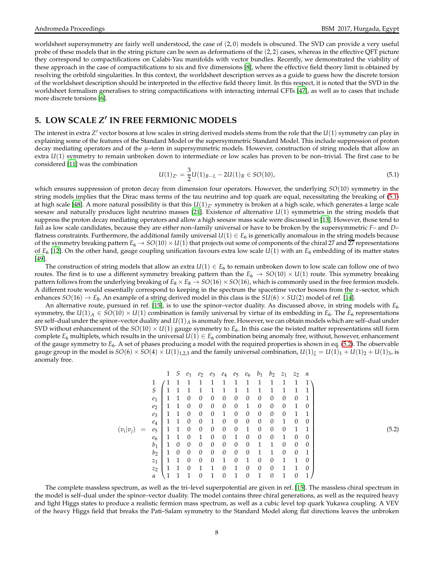worldsheet supersymmetry are fairly well understood, the case of (2, 0) models is obscured. The SVD can provide a very useful probe of these models that in the string picture can be seen as deformations of the  $(2, 2)$  cases, whereas in the effective QFT picture they correspond to compactifications on Calabi-Yau manifolds with vector bundles. Recently, we demonstrated the viability of these approach in the case of compactifications to six and five dimensions [\[8](#page-11-7)], where the effective field theory limit is obtained by resolving the orbifold singularities. In this context, the worldsheet description serves as a guide to guess how the discrete torsion of the worldsheet description should be interpreted in the effective field theory limit. In this respect, it is noted that the SVD in the worldsheet formalism generalises to string compactifications with interacting internal CFTs [\[47\]](#page-12-34), as well as to cases that include more discrete torsions [\[6](#page-11-5)].

# **5. LOW SCALE** *Z* ′ **IN FREE FERMIONIC MODELS**

The interest in extra *Z* ′ vector bosons at low scales in string derived models stems from the role that the *U*(1) symmetry can play in explaining some of the features of the Standard Model or the supersymmetric Standard Model. This include suppression of proton decay mediating operators and of the *µ*–term in supersymmetric models. However, construction of string models that allow an extra  $U(1)$  symmetry to remain unbroken down to intermediate or low scales has proven to be non–trivial. The first case to be considered [\[11\]](#page-11-10) was the combination

<span id="page-7-0"></span>
$$
U(1)_{Z'} = \frac{3}{2}U(1)_{B-L} - 2U(1)_R \in SO(10),\tag{5.1}
$$

which ensures suppression of proton decay from dimension four operators. However, the underlying *SO*(10) symmetry in the string models implies that the Dirac mass terms of the tau neutrino and top quark are equal, necessitating the breaking of [\(5.1\)](#page-7-0) at high scale [\[48](#page-12-35)]. A more natural possibility is that this  $U(1)_{Z'}$  symmetry is broken at a high scale, which generates a large scale seesaw and naturally produces light neutrino masses [\[21](#page-12-8)]. Existence of alternative *U*(1) symmetries in the string models that suppress the proton decay mediating operators and allow a high seesaw mass scale were discussed in [\[13\]](#page-12-0). However, those tend to fail as low scale candidates, because they are either non–family universal or have to be broken by the supersymmetric *F*– and *D*– flatness constraints. Furthermore, the additional family universal  $U(1) \in E_6$  is generically anomalous in the string models because of the symmetry breaking pattern  $E_6 \to SO(10) \times U(1)$  that projects out some of components of the chiral 27 and  $2\overline{7}$  representations of  $E_6$  [\[12\]](#page-11-11). On the other hand, gauge coupling unification favours extra low scale  $U(1)$  with an  $E_6$  embedding of its matter states [\[49\]](#page-12-36).

The construction of string models that allow an extra  $U(1) \in E_6$  to remain unbroken down to low scale can follow one of two routes. The first is to use a different symmetry breaking pattern than the  $E_6 \to SO(10) \times U(1)$  route. This symmetry breaking pattern follows from the underlying breaking of  $E_8 \times E_8 \rightarrow SO(16) \times SO(16)$ , which is commonly used in the free fermion models. A different route would essentially correspond to keeping in the spectrum the spacetime vector bosons from the *x*–sector, which enhances  $SO(16) \rightarrow E_8$ . An example of a string derived model in this class is the  $SU(6) \times SU(2)$  model of ref. [\[14](#page-12-1)].

An alternative route, pursued in ref. [\[15](#page-12-2)], is to use the spinor–vector duality. As discussed above, in string models with *E*<sup>6</sup> symmetry, the  $U(1)_A \in SO(10) \times U(1)$  combination is family universal by virtue of its embedding in  $E_6$ . The  $E_6$  representations are self–dual under the spinor–vector duality and *U*(1)*<sup>A</sup>* is anomaly free. However, we can obtain models which are self–dual under SVD without enhancement of the  $SO(10) \times U(1)$  gauge symmetry to  $E_6$ . In this case the twisted matter representations still form complete  $E_6$  multiplets, which results in the universal  $U(1) \in E_6$  combination being anomaly free, without, however, enhancement of the gauge symmetry to *E*6. A set of phases producing a model with the required properties is shown in eq. [\(5.2\)](#page-7-1). The observable gauge group in the model is  $SO(6) \times SO(4) \times U(1)_{1,2,3}$  and the family universal combination,  $U(1)_{\zeta} = U(1)_1 + U(1)_2 + U(1)_3$ , is anomaly free.

<span id="page-7-1"></span>(*vi* |*vj*) = 1 *S e*<sup>1</sup> *e*<sup>2</sup> *e*<sup>3</sup> *e*<sup>4</sup> *e*<sup>5</sup> *e*<sup>6</sup> *b*<sup>1</sup> *b*<sup>2</sup> *z*<sup>1</sup> *z*<sup>2</sup> *α* 1 1 1 1 1 1 1 1 1 1 1 1 1 1 *S* 1 1 1 1 1 1 1 1 1 1 1 1 1 *e*<sup>1</sup> 1 1 0 0 0 0 0 0 0 0 0 0 1 *e*<sup>2</sup> 1 1 0 0 0 0 0 1 0 0 0 1 0 *e*<sup>3</sup> 1 1 0 0 0 1 0 0 0 0 0 1 1 *e*<sup>4</sup> 1 1 0 0 1 0 0 0 0 0 1 0 0 *e*<sup>5</sup> 1 1 0 0 0 0 0 1 0 0 0 1 1 *e*<sup>6</sup> 1 1 0 1 0 0 1 0 0 0 1 0 0 *b*<sup>1</sup> 1 0 0 0 0 0 0 0 1 1 0 0 0 *b*<sup>2</sup> 1 0 0 0 0 0 0 0 1 1 0 0 1 *z*<sup>1</sup> 1 1 0 0 0 1 0 1 0 0 1 1 0 *z*<sup>2</sup> 1 1 0 1 1 0 1 0 0 0 1 1 0 *α* 1 1 1 0 1 0 1 0 1 0 1 0 1 (5.2)

The complete massless spectrum, as well as the tri–level superpotential are given in ref. [\[15](#page-12-2)]. The massless chiral spectrum in the model is self–dual under the spinor–vector duality. The model contains three chiral generations, as well as the required heavy and light Higgs states to produce a realistic fermion mass spectrum, as well as a cubic level top quark Yukawa coupling. A VEV of the heavy Higgs field that breaks the Pati–Salam symmetry to the Standard Model along flat directions leaves the unbroken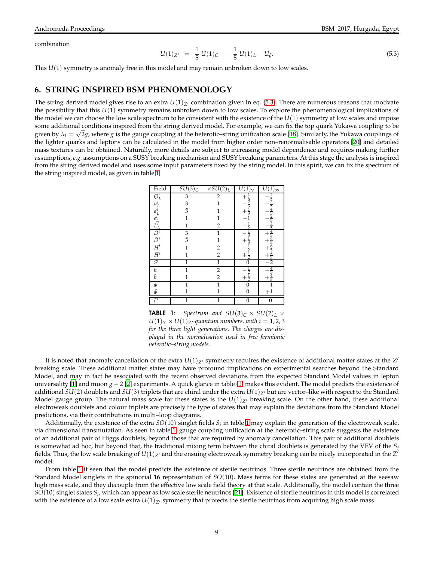combination

$$
(1)_{Z'} = \frac{1}{5} U(1)_C - \frac{1}{5} U(1)_L - U_\zeta. \tag{5.3}
$$

This *U*(1) symmetry is anomaly free in this model and may remain unbroken down to low scales.

<span id="page-8-0"></span>*U*(1)*Z*′ =

### **6. STRING INSPIRED BSM PHENOMENOLOGY**

The string derived model gives rise to an extra  $U(1)_{Z'}$  combination given in eq. [\(5.3\)](#page-8-0). There are numerous reasons that motivate the possibility that this *U*(1) symmetry remains unbroken down to low scales. To explore the phenomenological implications of the model we can choose the low scale spectrum to be consistent with the existence of the *U*(1) symmetry at low scales and impose some additional conditions inspired from the string derived model. For example, we can fix the top quark Yukawa coupling to be given by  $\lambda_t = \sqrt{2}g$ , where *g* is the gauge coupling at the heterotic–string unification scale [\[18\]](#page-12-5). Similarly, the Yukawa couplings of the lighter quarks and leptons can be calculated in the model from higher order non–renormalisable operators [\[20](#page-12-7)] and detailed mass textures can be obtained. Naturally, more details are subject to increasing model dependence and requires making further assumptions, *e.g.* assumptions on a SUSY breaking mechanism and SUSY breaking parameters. At this stage the analysis is inspired from the string derived model and uses some input parameters fixed by the string model. In this spirit, we can fix the spectrum of the string inspired model, as given in table [1.](#page-8-1)

| Field                                                                  | $SU(3)_C$    | $\times SU(2)_L$ | U             | U(1<br>Z'           |
|------------------------------------------------------------------------|--------------|------------------|---------------|---------------------|
| $Q_L^i$<br>$u_L^i$                                                     | 3            | $\overline{2}$   |               |                     |
|                                                                        | $\bar{3}$    | 1                |               |                     |
| $d_I^i$                                                                | $\bar{3}$    | 1                | $\frac{1}{3}$ |                     |
|                                                                        | 1            |                  |               |                     |
| $e^{\tilde{t}}_L$<br>$\frac{L^i_L}{D^i}$<br>$\bar{D}^i$<br>$\bar{H}^i$ | 1            | 2                |               |                     |
|                                                                        | 3            | 1                |               |                     |
|                                                                        | $\bar{3}$    | 1                |               |                     |
|                                                                        | $\mathbf{1}$ | 2                |               | $\frac{15656}{545}$ |
|                                                                        | 1            | $\overline{2}$   |               |                     |
| $S^i$                                                                  | 1            | 1                |               | $\overline{2}$      |
|                                                                        | $\mathbf{1}$ | $\overline{2}$   |               |                     |
| h<br>h                                                                 | 1            | $\overline{2}$   |               |                     |
|                                                                        | 1            | 1                |               | $-1$<br>+1          |
| $\frac{\phi}{\bar{\phi}}$                                              | 1            |                  |               |                     |
| $\zeta^i$                                                              | 1            | 1                | 0             | $\mathbf{0}$        |

<span id="page-8-1"></span>**TABLE 1:** *Spectrum and SU*(3)<sub>*C*</sub>  $\times$  *SU*(2)<sub>*L*</sub>  $\times$  $U(1)_Y \times U(1)_{Z'}$  quantum numbers, with  $i = 1, 2, 3$ *for the three light generations. The charges are displayed in the normalisation used in free fermionic heterotic–string models.*

It is noted that anomaly cancellation of the extra  $U(1)_{Z'}$  symmetry requires the existence of additional matter states at the  $Z'$ breaking scale. These additional matter states may have profound implications on experimental searches beyond the Standard Model, and may in fact be associated with the recent observed deviations from the expected Standard Model values in lepton universality [\[1](#page-11-0)] and muon *g* − 2 [\[2](#page-11-1)] experiments. A quick glance in table [\(1\)](#page-8-1) makes this evident. The model predicts the existence of additional *SU*(2) doublets and *SU*(3) triplets that are chiral under the extra  $U(1)_{Z'}$  but are vector–like with respect to the Standard Model gauge group. The natural mass scale for these states is the  $U(1)_{Z'}$  breaking scale. On the other hand, these additional electroweak doublets and colour triplets are precisely the type of states that may explain the deviations from the Standard Model predictions, via their contributions in multi–loop diagrams.

Additionally, the existence of the extra *SO*(10) singlet fields *S<sup>i</sup>* in table [1](#page-8-1) may explain the generation of the electroweak scale, via dimensional transmutation. As seen in table [1,](#page-8-1) gauge coupling unification at the heterotic–string scale suggests the existence of an additional pair of Higgs doublets, beyond those that are required by anomaly cancellation. This pair of additional doublets is somewhat ad hoc, but beyond that, the traditional mixing term between the chiral doublets is generated by the VEV of the *S<sup>i</sup>* fields. Thus, the low scale breaking of  $U(1)_{Z'}$  and the ensuing electroweak symmetry breaking can be nicely incorporated in the  $Z^\prime$ model.

From table [1](#page-8-1) it seen that the model predicts the existence of sterile neutrinos. Three sterile neutrinos are obtained from the Standard Model singlets in the spinorial **16** representation of *SO*(10). Mass terms for these states are generated at the seesaw high mass scale, and they decouple from the effective low scale field theory at that scale. Additionally, the model contain the three *SO*(10) singlet states *S<sup>i</sup>* , which can appear as low scale sterile neutrinos [\[21](#page-12-8)]. Existence of sterile neutrinos in this model is correlated with the existence of a low scale extra  $U(1)_{Z}$ <sup>*c*</sup> symmetry that protects the sterile neutrinos from acquiring high scale mass.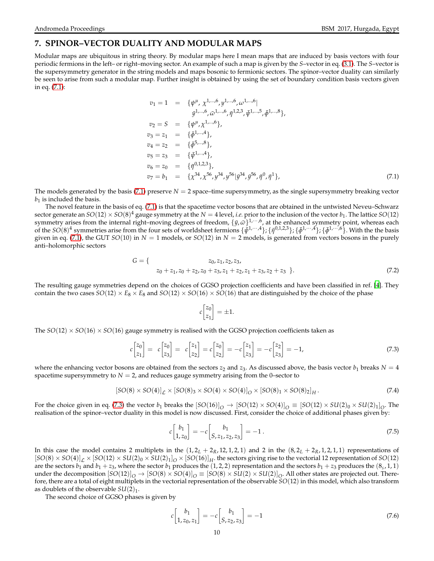## **7. SPINOR–VECTOR DUALITY AND MODULAR MAPS**

Modular maps are ubiquitous in string theory. By modular maps here I mean maps that are induced by basis vectors with four periodic fermions in the left– or right–moving sector. An example of such a map is given by the *S*–vector in eq. [\(3.1\)](#page-4-2). The *S*–vector is the supersymmetry generator in the string models and maps bosonic to fermionic sectors. The spinor–vector duality can similarly be seen to arise from such a modular map. Further insight is obtained by using the set of boundary condition basis vectors given in eq. [\(7.1\)](#page-9-0):

<span id="page-9-0"></span>
$$
v_1 = 1 = \{ \psi^{\mu}, \chi^{1,...,6}, y^{1,...,6}, \omega^{1,...,6} | \n\bar{y}^{1,...,6}, \bar{\omega}^{1,...,6}, \bar{\eta}^{1,2,3}, \bar{\psi}^{1,...,5}, \bar{\phi}^{1,...,8} \},
$$
\n
$$
v_2 = S = \{ \psi^{\mu}, \chi^{1,...,6} \},
$$
\n
$$
v_3 = z_1 = \{\bar{\phi}^{1,...,4} \},
$$
\n
$$
v_4 = z_2 = \{\bar{\phi}^{5,...,8} \},
$$
\n
$$
v_5 = z_3 = \{\bar{\psi}^{1,...,4} \},
$$
\n
$$
v_6 = z_0 = \{\bar{\eta}^{0,1,2,3} \},
$$
\n
$$
v_7 = b_1 = \{\chi^{34}, \chi^{56}, y^{34}, y^{56} | \bar{y}^{34}, \bar{y}^{56}, \bar{\eta}^{0}, \bar{\eta}^{1} \},
$$
\n
$$
(7.1)
$$

The models generated by the basis [\(7.1\)](#page-9-0) preserve  $N = 2$  space–time supersymmetry, as the single supersymmetry breaking vector  $b_1$  is included the basis.

The novel feature in the basis of eq. [\(7.1\)](#page-9-0) is that the spacetime vector bosons that are obtained in the untwisted Neveu–Schwarz sector generate an  $SO(12) \times SO(8)^4$  gauge symmetry at the  $N = 4$  level, *i.e.* prior to the inclusion of the vector  $b_1$ . The lattice  $SO(12)$ symmetry arises from the internal right–moving degrees of freedom,  $\{\bar{y}, \bar{\omega}\}^{1,\cdots,6}$ , at the enhanced symmetry point, whereas each of the  $SO(8)^4$  symmetries arise from the four sets of worldsheet fermions  $\{\bar{\psi}^{1,\cdots,4}\}$ ;  $\{\bar{\eta}^{0,1,2,3}\}$ ;  $\{\bar{\phi}^{1,\cdots,4}\}$ ;  $\{\bar{\phi}^{1,\cdots,6}\}$ . With the the basis given in eq. [\(7.1\)](#page-9-0), the GUT  $SO(10)$  in  $N = 1$  models, or  $SO(12)$  in  $N = 2$  models, is generated from vectors bosons in the purely anti–holomorphic sectors

$$
G = \{ \n\begin{aligned}\n z_0, z_1, z_2, z_3, \\
z_0 + z_1, z_0 + z_2, z_0 + z_3, z_1 + z_2, z_1 + z_3, z_2 + z_3\n\end{aligned}\n\}.
$$
\n(7.2)

The resulting gauge symmetries depend on the choices of GGSO projection coefficients and have been classified in ref. [\[4](#page-11-3)]. They contain the two cases  $SO(12) \times E_8 \times E_8$  and  $SO(12) \times SO(16) \times SO(16)$  that are distinguished by the choice of the phase

$$
c\begin{bmatrix} z_0 \\ z_1 \end{bmatrix} = \pm 1.
$$

The  $SO(12) \times SO(16) \times SO(16)$  gauge symmetry is realised with the GGSO projection coefficients taken as

<span id="page-9-1"></span>
$$
c\begin{bmatrix} z_0 \\ z_1 \end{bmatrix} = c\begin{bmatrix} z_0 \\ z_3 \end{bmatrix} = c\begin{bmatrix} z_1 \\ z_2 \end{bmatrix} = c\begin{bmatrix} z_0 \\ z_2 \end{bmatrix} = -c\begin{bmatrix} z_1 \\ z_3 \end{bmatrix} = -c\begin{bmatrix} z_2 \\ z_3 \end{bmatrix} = -1,
$$
\n(7.3)

where the enhancing vector bosons are obtained from the sectors  $z_2$  and  $z_3$ . As discussed above, the basis vector  $b_1$  breaks  $N = 4$ spacetime supersymmetry to  $N = 2$ , and reduces gauge symmetry arising from the 0–sector to

$$
[SO(8) \times SO(4)]_{\mathcal{L}} \times [SO(8)_{3} \times SO(4) \times SO(4)]_{\mathcal{O}} \times [SO(8)_{1} \times SO(8)_{2}]_{H}. \tag{7.4}
$$

For the choice given in eq. [\(7.3\)](#page-9-1) the vector  $b_1$  breaks the  $[SO(16)]_O \rightarrow [SO(12) \times SO(4)]_O \equiv [SO(12) \times SU(2)_0 \times SU(2)_1]_O$ . The realisation of the spinor–vector duality in this model is now discussed. First, consider the choice of additional phases given by:

<span id="page-9-2"></span>
$$
c\begin{bmatrix} b_1 \\ 1, z_0 \end{bmatrix} = -c \begin{bmatrix} b_1 \\ S, z_1, z_2, z_3 \end{bmatrix} = -1.
$$
 (7.5)

In this case the model contains 2 multiplets in the  $(1, 2_L + 2_R, 12, 1, 2, 1)$  and 2 in the  $(8, 2_L + 2_R, 1, 2, 1, 1)$  representations of  $[SO(8) \times SO(4)]_{\mathcal{L}} \times [SO(12) \times SU(2)_0 \times SU(2)_1]_O \times [SO(16)]_{H}$ . the sectors giving rise to the vectorial 12 representation of  $SO(12)$ are the sectors  $b_1$  and  $b_1 + z_3$ , where the sector  $b_1$  produces the  $(1, 2, 2)$  representation and the sectors  $b_1 + z_3$  produces the  $(8<sub>s</sub>, 1, 1)$ under the decomposition  $[SO(12)]_O \rightarrow [SO(8) \times SO(4)]_O \equiv [SO(8) \times SU(2) \times SU(2)]_O$ . All other states are projected out. Therefore, there are a total of eight multiplets in the vectorial representation of the observable *SO*(12) in this model, which also transform as doublets of the observable  $SU(2)_1$ .

The second choice of GGSO phases is given by

<span id="page-9-3"></span>
$$
c \begin{bmatrix} b_1 \\ 1, z_0, z_1 \end{bmatrix} = -c \begin{bmatrix} b_1 \\ S, z_2, z_3 \end{bmatrix} = -1
$$
\n(7.6)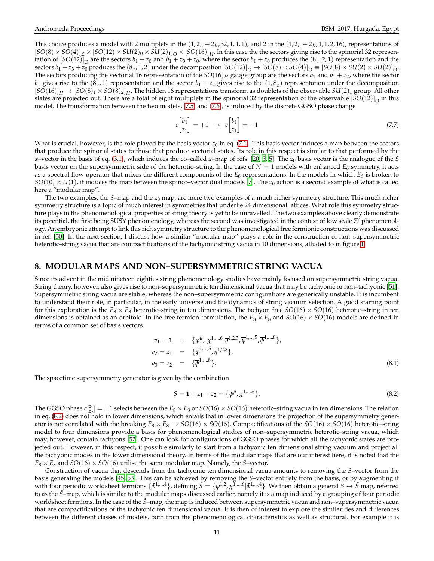This choice produces a model with 2 multiplets in the  $(1, 2_L + 2_R, 32, 1, 1, 1)$ , and 2 in the  $(1, 2_L + 2_R, 1, 1, 2, 16)$ , representations of  $[SO(8) \times SO(4)]_L \times [SO(12) \times SU(2)_0 \times SU(2)_1]_O \times [SO(16)]_H$ . In this case the the sectors giving rise to the spinorial 32 representation of  $[SO(12)]_O$  are the sectors  $b_1 + z_0$  and  $b_1 + z_3 + z_0$ , where the sector  $b_1 + z_0$  produces the  $(8_v, 2, 1)$  representation and the sectors  $b_1 + z_3 + z_0$  produces the  $(8_c, 1, 2)$  under the decomposition  $[SO(12)]_O \rightarrow [SO(8) \times SO(4)]_O \equiv [SO(8) \times SU(2) \times SU(2)]_O$ . The sectors producing the vectorial 16 representation of the  $SO(16)$ <sup>H</sup> gauge group are the sectors  $b_1$  and  $b_1 + z_2$ , where the sector  $b_1$  gives rise to the  $(8_v, 1)$  representation and the sector  $b_1 + z_2$  gives rise to the  $(1, 8_c)$  representation under the decomposition  $[SO(16)]_H \rightarrow [SO(8)_1 \times SO(8)_2]_H$ . The hidden 16 representations transform as doublets of the observable  $SU(2)_1$  group. All other states are projected out. There are a total of eight multiplets in the spinorial 32 representation of the observable  $[SO(12)]_O$  in this model. The transformation between the two models, [\(7.5\)](#page-9-2) and [\(7.6\)](#page-9-3), is induced by the discrete GGSO phase change

$$
c\begin{bmatrix} b_1 \\ z_1 \end{bmatrix} = +1 \quad \to \quad c\begin{bmatrix} b_1 \\ z_1 \end{bmatrix} = -1 \tag{7.7}
$$

What is crucial, however, is the role played by the basis vector  $z_0$  in eq. [\(7.1\)](#page-9-0). This basis vector induces a map between the sectors that produce the spinorial states to those that produce vectorial states. Its role in this respect is similar to that performed by the *x*–vector in the basis of eq. [\(3.1\)](#page-4-2), which induces the co–called *x*–map of refs. [\[20,](#page-12-7) [3,](#page-11-2) [5](#page-11-4)]. The *z*<sup>0</sup> basis vector is the analogue of the *S* basis vector on the supersymmetric side of the heterotic–string. In the case of  $N = 1$  models with enhanced  $E_6$  symmetry, it acts as a spectral flow operator that mixes the different components of the  $E_6$  representations. In the models in which  $E_6$  is broken to  $SO(10) \times U(1)$ , it induces the map between the spinor–vector dual models [\[7](#page-11-6)]. The  $z_0$  action is a second example of what is called here a "modular map".

The two examples, the *S*–map and the  $z_0$  map, are mere two examples of a much richer symmetry structure. This much richer symmetry structure is a topic of much interest in symmetries that underlie 24 dimensional lattices. What role this symmetry structure plays in the phenomenological properties of string theory is yet to be unravelled. The two examples above clearly demonstrate its potential, the first being SUSY phenomenology, whereas the second was investigated in the context of low scale *Z* ′ phenomenology. An embryonic attempt to link this rich symmetry structure to the phenomenological free fermionic constructions was discussed in ref. [\[50\]](#page-12-37). In the next section, I discuss how a similar "modular map" plays a role in the construction of non–supersymmetric heterotic–string vacua that are compactifications of the tachyonic string vacua in 10 dimensions, alluded to in figure [1.](#page-3-0)

#### **8. MODULAR MAPS AND NON–SUPERSYMMETRIC STRING VACUA**

Since its advent in the mid nineteen eighties string phenomenology studies have mainly focused on supersymmetric string vacua. String theory, however, also gives rise to non–supersymmetric ten dimensional vacua that may be tachyonic or non–tachyonic [\[51\]](#page-12-38). Supersymmetric string vacua are stable, whereas the non–supersymmetric configurations are generically unstable. It is incumbent to understand their role, in particular, in the early universe and the dynamics of string vacuum selection. A good starting point for this exploration is the  $E_8 \times E_8$  heterotic–string in ten dimensions. The tachyon free  $SO(16) \times SO(16)$  heterotic–string in ten dimensions is obtained as an orbifold. In the free fermion formulation, the  $E_8 \times E_8$  and  $SO(16) \times SO(16)$  models are defined in terms of a common set of basis vectors

$$
v_1 = 1 = \{\psi^{\mu}, \chi^{1,\dots,6}|\overline{\eta}^{1,2,3}, \overline{\psi}^{1,\dots,5}, \overline{\phi}^{1,\dots,8}\},
$$
  
\n
$$
v_2 = z_1 = \{\overline{\psi}^{1,\dots,5}, \overline{\eta}^{1,2,3}\},
$$
  
\n
$$
v_3 = z_2 = \{\overline{\phi}^{1,\dots,8}\}.
$$
  
\n(8.1)

The spacetime supersymmetry generator is given by the combination

<span id="page-10-0"></span>
$$
S = 1 + z_1 + z_2 = {\psi^{\mu}, \chi^{1,...,6}}.
$$
\n(8.2)

The GGSO phase  $c_{z_2}^{z_1} = \pm 1$  selects between the  $E_8 \times E_8$  or  $SO(16) \times SO(16)$  heterotic–string vacua in ten dimensions. The relation in eq. [\(8.2\)](#page-10-0) does not hold in lower dimensions, which entails that in lower dimensions the projection of the supersymmetry generator is not correlated with the breaking  $E_8 \times E_8 \to SO(16) \times SO(16)$ . Compactifications of the  $SO(16) \times SO(16)$  heterotic–string model to four dimensions provide a basis for phenomenological studies of non–supersymmetric heterotic–string vacua, which may, however, contain tachyons [\[52](#page-12-39)]. One can look for configurations of GGSO phases for which all the tachyonic states are projected out. However, in this respect, it possible similarly to start from a tachyonic ten dimensional string vacuum and project all the tachyonic modes in the lower dimensional theory. In terms of the modular maps that are our interest here, it is noted that the  $E_8 \times E_8$  and *SO*(16)  $\times$  *SO*(16) utilise the same modular map. Namely, the *S*–vector.

Construction of vacua that descends from the tachyonic ten dimensional vacua amounts to removing the *S*–vector from the basis generating the models [\[45](#page-12-32), [53\]](#page-12-40). This can be achieved by removing the *S*–vector entirely from the basis, or by augmenting it with four periodic worldsheet fermions  $\{\bar{\phi}^{1,...,4}\}$ , defining  $\tilde{S} = \{\psi^{1,2}, \chi^{1,...,6}|\bar{\phi}^{1,...,4}\}$ . We then obtain a general  $S \leftrightarrow \tilde{S}$  map, referred to as the  $\tilde{S}$ –map, which is similar to the modular maps discussed earlier, namely it is a map induced by a grouping of four periodic worldsheet fermions. In the case of the  $\tilde{S}$ –map, the map is induced between supersymmetric vacua and non–supersymmetric vacua that are compactifications of the tachyonic ten dimensional vacua. It is then of interest to explore the similarities and differences between the different classes of models, both from the phenomenological characteristics as well as structural. For example it is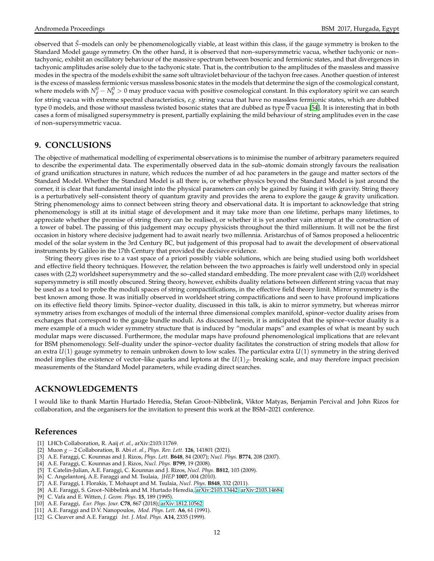observed that *S*˜–models can only be phenomenologically viable, at least within this class, if the gauge symmetry is broken to the Standard Model gauge symmetry. On the other hand, it is observed that non–supersymmetric vacua, whether tachyonic or non– tachyonic, exhibit an oscillatory behaviour of the massive spectrum between bosonic and fermionic states, and that divergences in tachyonic amplitudes arise solely due to the tachyonic state. That is, the contribution to the amplitudes of the massless and massive modes in the spectra of the models exhibit the same soft ultraviolet behaviour of the tachyon free cases. Another question of interest is the excess of massless fermionic versus massless bosonic states in the models that determine the sign of the cosmological constant, where models with  $N_f^0-N_b^0>0$  may produce vacua with positive cosmological constant. In this exploratory spirit we can search for string vacua with extreme spectral characteristics, *e.g.* string vacua that have no massless fermionic states, which are dubbed type 0 models, and those without massless twisted bosonic states that are dubbed as type  $\overline{0}$  vacua [\[54](#page-12-41)]. It is interesting that in both cases a form of misaligned supersymmetry is present, partially explaining the mild behaviour of string amplitudes even in the case of non–supersymmetric vacua.

# **9. CONCLUSIONS**

The objective of mathematical modelling of experimental observations is to minimise the number of arbitrary parameters required to describe the experimental data. The experimentally observed data in the sub–atomic domain strongly favours the realisation of grand unification structures in nature, which reduces the number of ad hoc parameters in the gauge and matter sectors of the Standard Model. Whether the Standard Model is all there is, or whether physics beyond the Standard Model is just around the corner, it is clear that fundamental insight into the physical parameters can only be gained by fusing it with gravity. String theory is a perturbatively self–consistent theory of quantum gravity and provides the arena to explore the gauge & gravity unification. String phenomenology aims to connect between string theory and observational data. It is important to acknowledge that string phenomenology is still at its initial stage of development and it may take more than one lifetime, perhaps many lifetimes, to appreciate whether the promise of string theory can be realised, or whether it is yet another vain attempt at the construction of a tower of babel. The passing of this judgement may occupy physicists throughout the third millennium. It will not be the first occasion in history where decisive judgement had to await nearly two millennia. Aristarchus of of Samos proposed a heliocentric model of the solar system in the 3rd Century BC, but judgement of this proposal had to await the development of observational instruments by Galileo in the 17th Century that provided the decisive evidence.

String theory gives rise to a vast space of a priori possibly viable solutions, which are being studied using both worldsheet and effective field theory techniques. However, the relation between the two approaches is fairly well understood only in special cases with (2,2) worldsheet supersymmetry and the so–called standard embedding. The more prevalent case with (2,0) worldsheet supersymmetry is still mostly obscured. String theory, however, exhibits duality relations between different string vacua that may be used as a tool to probe the moduli spaces of string compactifications, in the effective field theory limit. Mirror symmetry is the best known among those. It was initially observed in worldsheet string compactifications and seen to have profound implications on its effective field theory limits. Spinor–vector duality, discussed in this talk, is akin to mirror symmetry, but whereas mirror symmetry arises from exchanges of moduli of the internal three dimensional complex manifold, spinor–vector duality arises from exchanges that correspond to the gauge bundle moduli. As discussed herein, it is anticipated that the spinor–vector duality is a mere example of a much wider symmetry structure that is induced by "modular maps" and examples of what is meant by such modular maps were discussed. Furthermore, the modular maps have profound phenomenological implications that are relevant for BSM phenomenology. Self–duality under the spinor–vector duality facilitates the construction of string models that allow for an extra *U*(1) gauge symmetry to remain unbroken down to low scales. The particular extra *U*(1) symmetry in the string derived model implies the existence of vector–like quarks and leptons at the  $U(1)_{Z'}$  breaking scale, and may therefore impact precision measurements of the Standard Model parameters, while evading direct searches.

### **ACKNOWLEDGEMENTS**

I would like to thank Martin Hurtado Heredia, Stefan Groot–Nibbelink, Viktor Matyas, Benjamin Percival and John Rizos for collaboration, and the organisers for the invitation to present this work at the BSM–2021 conference.

### **References**

- <span id="page-11-0"></span>[1] LHCb Collaboration, R. Aaij *et. al.*, arXiv:2103:11769.
- <span id="page-11-1"></span>[2] Muon *<sup>g</sup>* <sup>−</sup> 2 Collaboration, B. Abi *et. al.*, *Phys. Rev. Lett.* **<sup>126</sup>**, 141801 (2021).
- <span id="page-11-2"></span>[3] A.E. Faraggi, C. Kounnas and J. Rizos, *Phys. Lett.* **B648**, 84 (2007); *Nucl. Phys.* **B774**, 208 (2007).
- <span id="page-11-3"></span>[4] A.E. Faraggi, C. Kounnas and J. Rizos, *Nucl. Phys.* **B799**, 19 (2008).
- <span id="page-11-4"></span>[5] T. Catelin-Julian, A.E. Faraggi, C. Kounnas and J. Rizos, *Nucl. Phys.* **B812**, 103 (2009).
- <span id="page-11-5"></span>[6] C. Angelantonj, A.E. Faraggi and M. Tsulaia, *JHEP* **1007**, 004 (2010).
- <span id="page-11-6"></span>[7] A.E. Faraggi, I. Florakis, T. Mohaupt and M. Tsulaia, *Nucl. Phys.* **B848**, 332 (2011).
- <span id="page-11-7"></span>[8] A.E. Faraggi, S. Groot–Nibbelink and M. Hurtado Heredia, [arXiv:2103.13442;](http://arxiv.org/abs/2103.13442) [arXiv:2103.14684.](http://arxiv.org/abs/2103.14684)
- <span id="page-11-8"></span>[9] C. Vafa and E. Witten, *J. Geom. Phys.* **15**, 189 (1995).
- <span id="page-11-9"></span>[10] A.E. Faraggi, *Eur. Phys. Jour.* **C78**, 867 (2018); [arXiv:1812.10562.](http://arxiv.org/abs/1812.10562)
- <span id="page-11-10"></span>[11] A.E. Faraggi and D.V. Nanopoulos, *Mod. Phys. Lett.* **A6**, 61 (1991).
- <span id="page-11-11"></span>[12] G. Cleaver and A.E. Faraggi *Int. J. Mod. Phys.* **A14**, 2335 (1999).